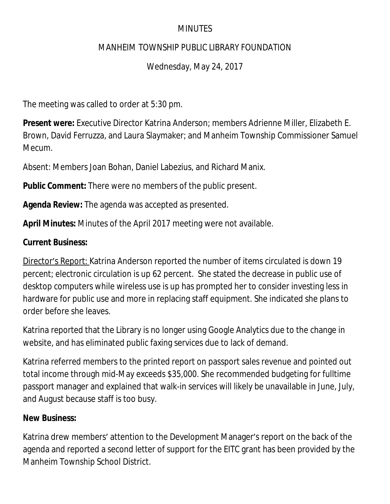### **MINUTES**

### MANHEIM TOWNSHIP PUBLIC LIBRARY FOUNDATION

Wednesday, May 24, 2017

The meeting was called to order at 5:30 pm.

**Present were:** Executive Director Katrina Anderson; members Adrienne Miller, Elizabeth E. Brown, David Ferruzza, and Laura Slaymaker; and Manheim Township Commissioner Samuel Mecum.

Absent: Members Joan Bohan, Daniel Labezius, and Richard Manix.

**Public Comment:** There were no members of the public present.

**Agenda Review:** The agenda was accepted as presented.

**April Minutes:** Minutes of the April 2017 meeting were not available.

### **Current Business:**

Director's Report: Katrina Anderson reported the number of items circulated is down 19 percent; electronic circulation is up 62 percent. She stated the decrease in public use of desktop computers while wireless use is up has prompted her to consider investing less in hardware for public use and more in replacing staff equipment. She indicated she plans to order before she leaves.

Katrina reported that the Library is no longer using Google Analytics due to the change in website, and has eliminated public faxing services due to lack of demand.

Katrina referred members to the printed report on passport sales revenue and pointed out total income through mid-May exceeds \$35,000. She recommended budgeting for fulltime passport manager and explained that walk-in services will likely be unavailable in June, July, and August because staff is too busy.

### **New Business:**

Katrina drew members' attention to the Development Manager's report on the back of the agenda and reported a second letter of support for the EITC grant has been provided by the Manheim Township School District.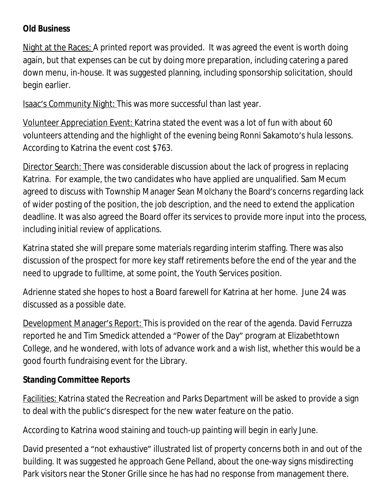## **Old Business**

Night at the Races: A printed report was provided. It was agreed the event is worth doing again, but that expenses can be cut by doing more preparation, including catering a pared down menu, in-house. It was suggested planning, including sponsorship solicitation, should begin earlier.

Isaac's Community Night: This was more successful than last year.

Volunteer Appreciation Event: Katrina stated the event was a lot of fun with about 60 volunteers attending and the highlight of the evening being Ronni Sakamoto's hula lessons. According to Katrina the event cost \$763.

Director Search: There was considerable discussion about the lack of progress in replacing Katrina. For example, the two candidates who have applied are unqualified. Sam Mecum agreed to discuss with Township Manager Sean Molchany the Board's concerns regarding lack of wider posting of the position, the job description, and the need to extend the application deadline. It was also agreed the Board offer its services to provide more input into the process, including initial review of applications.

Katrina stated she will prepare some materials regarding interim staffing. There was also discussion of the prospect for more key staff retirements before the end of the year and the need to upgrade to fulltime, at some point, the Youth Services position.

Adrienne stated she hopes to host a Board farewell for Katrina at her home. June 24 was discussed as a possible date.

Development Manager's Report: This is provided on the rear of the agenda. David Ferruzza reported he and Tim Smedick attended a "Power of the Day" program at Elizabethtown College, and he wondered, with lots of advance work and a wish list, whether this would be a good fourth fundraising event for the Library.

# **Standing Committee Reports**

Facilities: Katrina stated the Recreation and Parks Department will be asked to provide a sign to deal with the public's disrespect for the new water feature on the patio.

According to Katrina wood staining and touch-up painting will begin in early June.

David presented a "not exhaustive" illustrated list of property concerns both in and out of the building. It was suggested he approach Gene Pelland, about the one-way signs misdirecting Park visitors near the Stoner Grille since he has had no response from management there.